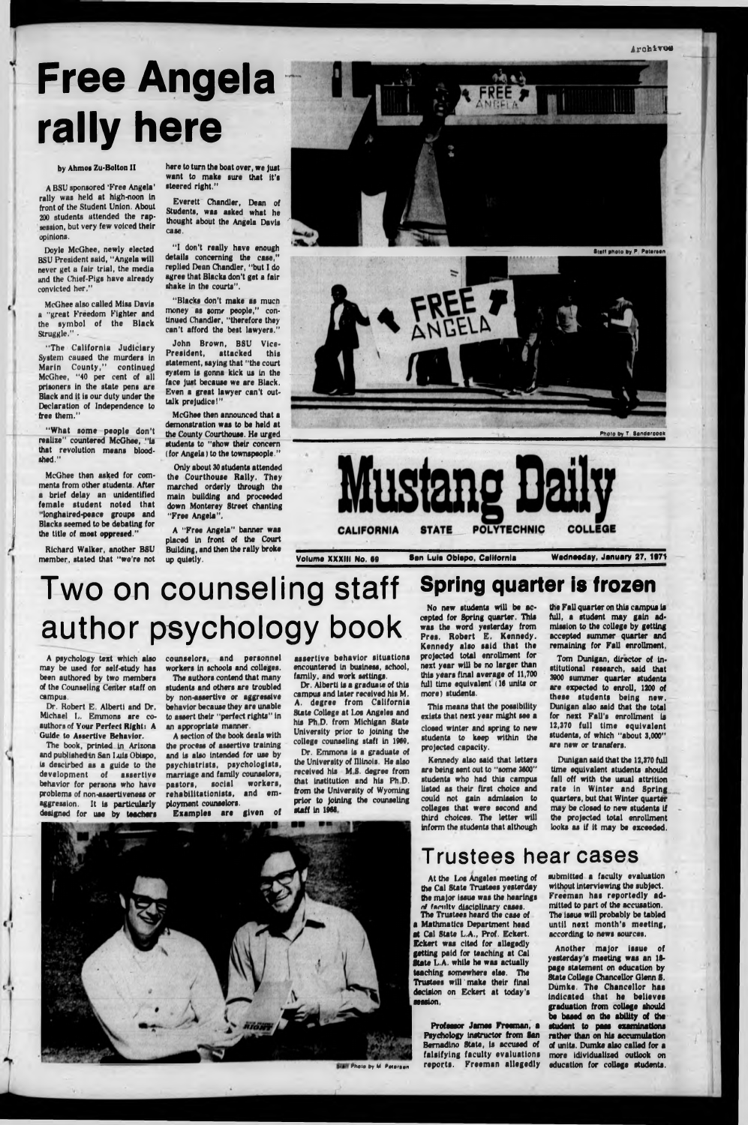# **Free Angela rally here**

#### by Ahmos Zu-Bolton II

A BSU sponsored 'Free Angela' rally was held at high-noon in front of the Student Union. About 200 students attended the rapsession, but very few voiced their opinions.

McGhee also called Miss Davis a "great Freedom Fighter and the symbol of the Black Struggle.".

Doyle McGhee, newly elected BSU President said, "Angela will never get a fair trial, the media and the Chief-Pigs have already convicted her,"

" The California Judiciary System caused the murders in Marin County," continued McGhee, "40 per cent of all prisoners in the state pens are Black and it is our duty under the Declaration of Independence to free them."

"What some people don't realize" countered McGhee, "Is that revolution means bloodshed."

McGhee then asked for comments from other students. After a brief delay an unidentified female student noted that "longhaired-peace groups and Blacks seemed to be debating for the title of most oppresed."

Richard Walker, another BSU member, stated that "we're not here to turn the boat over, we Just want to make sure that it's steered right."

Everett Chandler, Dean of Students, was asked what he thought about the Angela Davis case.

"I don't really have enough details concerning the case," replied Dean Chandler, "but I do agree that Blacks don't get a fair shake in the courts".

"Blacks don't make as much money as some people," continued Chandler, "therefore they can't afford the best lawyers."

> Tom Dunigan, director of institutional research, said that 3000 summer quarter students are expected to enroll, 1200 of these students being new, Dunigan also said that the total for next Fall's enrollment is 12,370 full time equivalent students, of which "about 3,000" are new or transfers.

John Brown, BSU Vice-President, attacked this statement, saying that "the court system is gonna kick us in the face just because we are Black. Even a great lawyer can't outtalk prejudice!"

McGhee then announced that a demonstration was to be held at the County Courthouse. He urged students to "show their concern (for Angela) to the townspeople."

Only about 30 students attended the Courthouse Rally. They marched orderly through the main building and proceeded down Monterey Street chanting "Free Angela".

> submitted a faculty evaluation without Interviewing the subject. Freeman haa reportedly admitted to part of the accuaation. The Iseue will probably be tabled until next month's meeting, according to news sources.

A "Free Angela" banner was placed in front of the Court Building, and then the rally broke up quietly.







Volume XXXIII No. 69 San Luis Obispo, California Wednesday, January 27, 1971

**Spring quarter is frozen**

No new students will be accepted for Spring quarter. This was the word yesterday from Pres. Robert E. Kennedy. Kennedy also said that the projected total enrollment for next year will be no larger than this years final average of 11,700 full time equivalent (16 units or more) students.

This means that the possibility exists that next year might see a closed winter and spring to new students to keep within the projected capacity.

assertive behavior situations encountered in business, school, family, and work settings.

> Kennedy also said that letters are being sent out to "some 3600" students who had this campus listed as their first choice and could not gain admission to colleges that were second and third choices. The letter will inform the students that although

At the *Ism* Angeles meeting of the Cal State Trustees yesterday the major issue was the hearings *r !* famltv disciplinary cases. The Trustees heard the case of a Mathmatlcs Department head at Cal State L.A., Prof. Eckert. Eckert was cited for allegedly getting paid for teaching at Cal ftate L.A. while he was actually teaching somewhere else. The Trustees wlll make their final decision on Eckert at today's session.

the Fall quarter on this campus is full, s student may gain admission to the college by getting accepted summer quarter and remaining for Fall enrollment,

Dunigan said that the 12,370 full

time equivalent students should fall off with the usual attrition rate in Winter and Spring quarters, but that Winter quarter may be closed to new students if the projected total enrollment looks as if it may be exceeded.

### **T ru stees hear cases**

Another major iaaue of yesterday's meeting was an 18 page statement on education by State College Chancellor Glenn S, Dumke. The Chancellor has Indicated that he believes graduation from collage should be baaed an the ability of the student to peas examinations rather than on his accumulation of units. Dumke also called for a more idividualized outlook on education for college students.

## **Two on counseling staff author psychology book**

A psychology text which also may be used for self-study has been authored by two members of the Counseling Center staff on campus.

Dr. Robert E. Alberti and Dr, Michael L. Emmons are coauthors of Your Perfect Right: A Guide to Assertive Behavior.

The book, printed in Arizona and published in San Luis Obispo,

is descirbed as a guide to the development of assertive behavior for persona who have problems of non-assertiveness or aggression. It is particularly designed for use by teachers

counselors, and personnel workers in schools and colleges.

The authors contend that many students and others are troubled by non-essertive or aggressive behavior because they are unable to assert their "perfect rights" in an appropriate manner.

A section of the book deals with the process of assertive training and is also intended for use by psychistrists, psychologists, marriage and family counselors, pastors, social workers, rehabilitationists, and employment counselors. Examples are given of

Dr. Alberti is a graduate of this campus and later received his M. A. degree from California State College at Los Angeles and his Ph D. from Michigan State University prior to joining the college counseling staft in 1969,

Dr. Emmons is a graduate of the University of Illinois. He also received his M S. degree from that institution and his Ph D. from the University of Wyoming prior to joining the counseling staff in 1968





Professor James Freeman, a Psychology instructor from San > Bemadlno State, Is accused of falsifying faculty evaluations reports. Freeman allegedly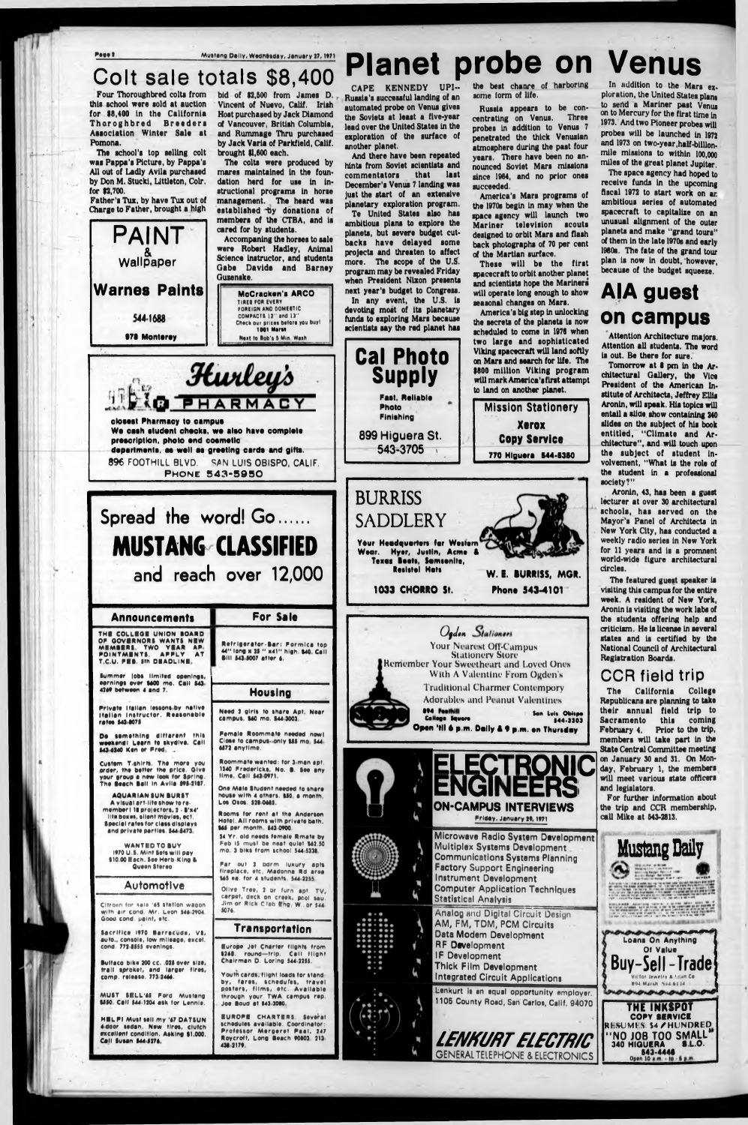**Fsee 2** Mustang Daily, Wednesday, January 27, 1971

## **C olt sale totals \$8,400**

Four Thoroughbred colta from this achool were sold at auction for \$8,400 In the California Th ar og h bred Breeders Association Winter Sale at Pomona.

The school's top selling colt was Pappa's Picture, by Pappa's All out of Ladly Avila purchased by Don M. Stucki, Littleton, Colr. for \$2,700.

Father's Tux, by have Tux out of Charge to Father, brought a high

**PAINT** 

**Wallpaper** 

**Wames Paints**

**544 1688**

**Cuitom T shirts. The more you order, the better the price. Oive your group • now Ieoh tor Spring. The Seach Ball in Avila 995-2107** 

Citroen for sale '45 station wagon **With air cond Mr. Leon 54S 2V04 Ooou cond, paint, etc,**

Sacrifice 1970 Barracuda, VB, **auto., console, low mileage, excel, cond. 772 SS55 evening\*.**

**Bultaco bike 200 cc. .025 over size, trail sproket, and larger tires, comp, release, 771 2444.**

**HBLFI Must sell my '47 DATSUN 4door sedan New tlras, clutch excellent condition. Aiklng \*1,000.** Call Susan \$44-5276.

**One Male Student needed to share** house with 4 others. **\$50 a month. Los Osos. 521 0445.**

Olive Tree, 2 br furn apt. TV, **carpet, deck on creek, pool sau. Jim or Rick C lab Eng W., or** 544 **5074**

**Europe Jet Charter flights from** 1248. round—trip. Call filght **Chairman D. Loring 544-2255.** 

Youth cards, flight loads for stand by, fares, schedufes, travel **posters, films, etc. Available through your TWA campus rsp. Joe Boud at \$42,3080.** 

**AQUARIAN SUN BURST** A visual art-lite show to re**member l IS pro|ector»,2 ■ S'n4' lite boxes, silent movies, ect. Special rates for class displays and private parties. S44 S473**

**WANTED TO BUY IV70 U.S. Mint Sets will pay \*10.00 Each. See Herb.King S Queen Stereo**

### **Automotive**

bid of \$2,500 from James D. Vincent of Nuevo, Calif. Irlah Host purchased by Jack Diamond of Vancouver, British Columbia, and Rummage Thru purchased by Jack Varia of Parkfield, Calif. brought \$1,600 each.

**MUST SILL'S! Ford Mustang \*550 Call \*44 1204 ask tor Lennls.**

CAPE KENNEDY UPI--Russia's successful landing of an automated probe on Venus gives the Soviets at least a five-year lead over the United States in the exploration of the surface of another planet.

And there have been repeated hints from Soviet scientists and<br>commentators that last commentators December's Venus 7 landing was just the start of an extensive

**Roommate wanted: tor I men apt.** 1240 Fredericks, No. **B. See any lime call \*410\*71**

**Rooms tor rent at the Anderson Hotel. All rooms with private bath. \*45 per month S42 0\*00.**

**24 Yr. old needs female Rmate by** Feb 15 must be neat quiet \$62.50 mo. 3 biks from school 544-5338.

Far out 2 bdrm luxury apts fireplace, etc. Madonna Rd area **M5 ea. for 4 students: 544-2255.** 

Russia appears to be con-<br>entrating on Venus, Three centrating on Venus. probes in addition to Venus 7 penetrated the thick Venusian atmosphere during the past four years. There have been no announced Soviet Mars missions since 1964, and no prior ones succeeded.

### **Transportation**

**IU R O F I CHARTERS. Several schedules available. Coordinator: Professor Mergeret Paal, 247 Roycroft, Long Seech \*0\*01 312 421 217V**

## **Planet probe on Venus**

The space agency had hoped to receive funds In the upcoming fiscal 1972 to start work on ar. ambitious series of automated spacecraft to capitalize on an unusual alignment of the outer planets and make "grand tours" of them In the late 1970s and early 1980s. The fate of the grand tour plan is now in doubt, however, because of the budget squeeze.

The colts were produced by mares maintained In the foundation herd for use In Instructional programs in horse management. The heard was established by donations of members of the CTBA, and is cared for by students.

Accompanlng the horses to sale were Robert Hadley, Animal Science Instructor, and students Gabe Davide and Barney Quzenske.

> **TIRES FOR EVERY FOREIGN AND DOMESTIC COMPACTS 12" and 11"** Check our prices before you buy! **1001 Marsh**

**McCracken's ARCO**

Aronin, 43, has been a guest lecturer at over 30 architectural schools, has served on the Mayor's Panel of Architects In New York City, has conducted a weekly radio series in New York for 11 years and is a promnent world-wide figure architectural circles.

planetary exploration program. Te United States also has

ambitious plans to explore the planets, but severe budget cutbacks have delayed some projects and threaten to affect more. The scope of the U.S. program may be revealed Friday when President Nixon presents next year's budget to Congress.

In any event, the U.S. is devoting most of its planetary funds to exploring Mars because scientists say the red planet has

the best chanre of harboring some form of life.



America's Mars programs of the 1970s begin In may when the space agency will launch two Mariner television scouts designed to orbit Mars and flash back photographs of 70 per cent of the Martian surface.

These will be the first spacecraft to orbit another planet and scientists hope the Mariners will operate long enough to show seasonal changes on Mars.

America's big step in unlocking the secrets of the planets is now scheduled to come in 1976 when two large and sophisticated Viking spacecraft will land softly on Mars and search for life. The \$800 million Viking program will mark America's first attempt to land on another planet.

In addition to the Mars exploration, the United States plans to send a Mariner past Venus on to Mercury for the first time in 1973. And two Pioneer probes will probes will be launched in 1972 and 1973 on two-year,half-billionmile missions to within 100,000 miles of the great planet Jupiter.

## **AIA guest on campus**

Attention Architecture majors. Attention all students. The word la out. Be there for sure.

Tomorrow at \$ pm In the Architectural Gallery, the Vice President of the American Institute of Architects, Jeffrey Ellis Aronin, will speak. His topics will entail a slide show containing 240 slides on the subject of his book entitled, "Climate and Architecture", and will touch upon the subject of student Involvement, "What is the role of the student In a professional society?"

The featured gueat speaker is visiting this campus for the entire week. A resident of New York, Aronin is visiting the work labs of the students offering help and criticism. He is license In several states and is certified by the National Council of Architectural Registration Boards.

### **CCR field trip**

The California College Republicans are planning to take their annual field trip to Sacramento this coming February 4. Prior to the trip, members will take part In the State Central Committee meeting

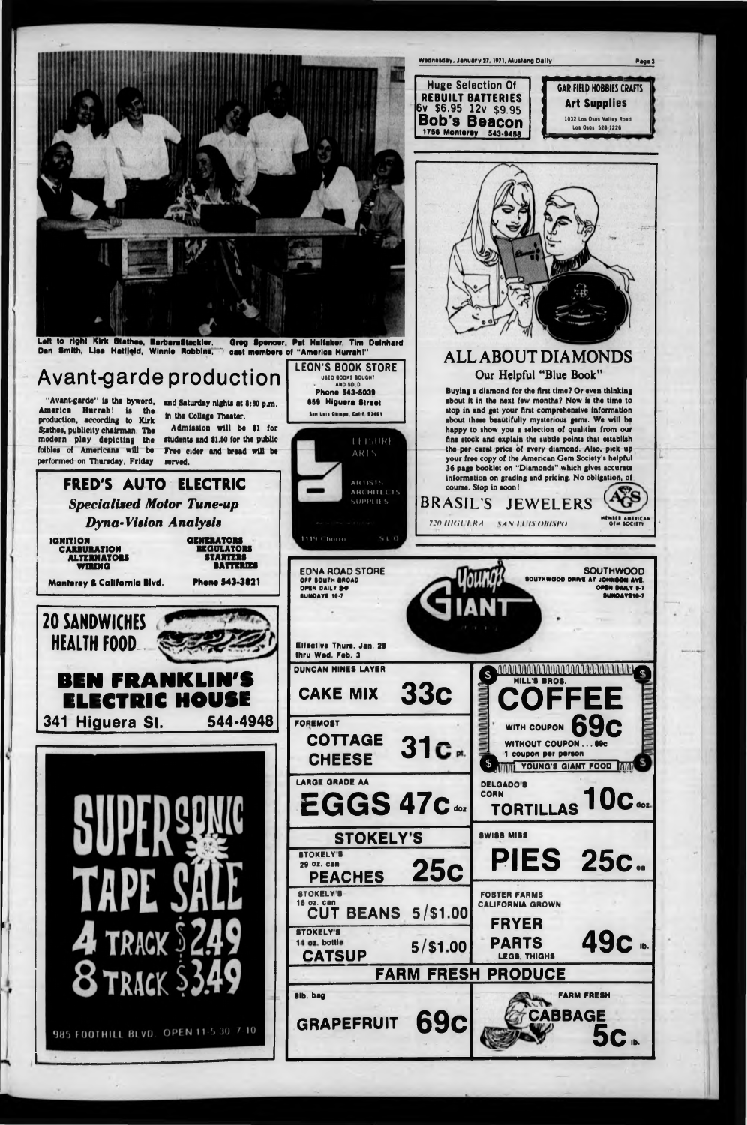

| <b>CHEESE</b><br><b>LARGE GRADE AA</b><br>EGGS 47c.                                                  | i coupon per person<br>$\mathbf{S}$<br>YOUNG'S GIANT FOOD INN<br><b>DELGADO'S</b><br><b>CORN</b><br>$10c$ $\circ$<br><b>TORTILLAS</b> |
|------------------------------------------------------------------------------------------------------|---------------------------------------------------------------------------------------------------------------------------------------|
| <b>STOKELY'S</b><br><b>STOKELY'S</b><br><b>25c</b><br><b>29 OZ. Can</b>                              | SWISS MISS<br><b>PIES</b><br>25c.                                                                                                     |
| <b>PEACHES</b><br><b>STOKELY'S</b><br><b>16 oz. can</b><br>$5/$ \$1.00<br><b>BEANS</b><br><b>CUT</b> | <b>FOSTER FARMS</b><br><b>CALIFORNIA GROWN</b><br><b>FRYER</b>                                                                        |
| <b>STOKELY'S</b><br>14 oz. bottle<br>$5/$ \$1.00<br><b>CATSUP</b>                                    | 49с.<br><b>PARTS</b><br><b>LEGS, THIGHS</b>                                                                                           |
|                                                                                                      | <b>FARM FRESH PRODUCE</b>                                                                                                             |
| <b>BIb.</b> bag<br><b>69c</b><br><b>GRAPEFRUIT</b>                                                   | <b>FARM FRESH</b><br>CABBAGE                                                                                                          |